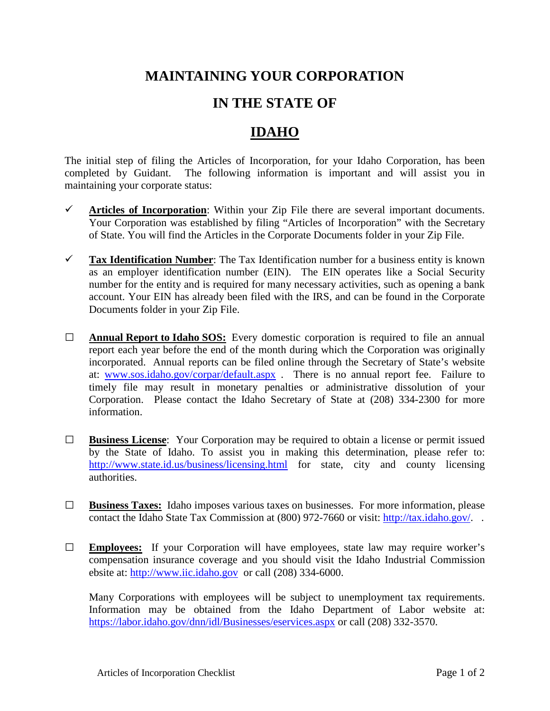## **MAINTAINING YOUR CORPORATION**

## **IN THE STATE OF**

## **IDAHO**

The initial step of filing the Articles of Incorporation, for your Idaho Corporation, has been completed by Guidant. The following information is important and will assist you in maintaining your corporate status:

- $\checkmark$  Articles of Incorporation: Within your Zip File there are several important documents. Your Corporation was established by filing "Articles of Incorporation" with the Secretary of State. You will find the Articles in the Corporate Documents folder in your Zip File.
- **Tax Identification Number**: The Tax Identification number for a business entity is known as an employer identification number (EIN). The EIN operates like a Social Security number for the entity and is required for many necessary activities, such as opening a bank account. Your EIN has already been filed with the IRS, and can be found in the Corporate Documents folder in your Zip File.
- **□ Annual Report to Idaho SOS:** Every domestic corporation is required to file an annual report each year before the end of the month during which the Corporation was originally incorporated. Annual reports can be filed online through the Secretary of State's website at: [www.sos.idaho.gov/corpar/default.aspx](http://www.sos.idaho.gov/corpar/default.aspx) . There is no annual report fee. Failure to timely file may result in monetary penalties or administrative dissolution of your Corporation. Please contact the Idaho Secretary of State at (208) 334-2300 for more information.
- **□ Business License**: Your Corporation may be required to obtain a license or permit issued by the State of Idaho. To assist you in making this determination, please refer to: <http://www.state.id.us/business/licensing.html> for state, city and county licensing authorities.
- **□ Business Taxes:** Idaho imposes various taxes on businesses. For more information, please contact the Idaho State Tax Commission at (800) 972-7660 or visit: [http://tax.idaho.gov/.](http://tax.idaho.gov/)..
- **□ Employees:** If your Corporation will have employees, state law may require worker's compensation insurance coverage and you should visit the Idaho Industrial Commission ebsite at: [http://www.iic.idaho.gov](http://www.iic.idaho.gov/) or call (208) 334-6000.

Many Corporations with employees will be subject to unemployment tax requirements. Information may be obtained from the Idaho Department of Labor website at: <https://labor.idaho.gov/dnn/idl/Businesses/eservices.aspx> or call (208) 332-3570.